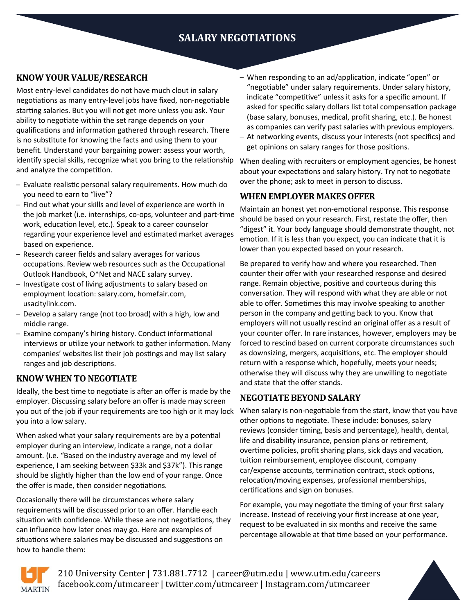# **SALARY NEGOTIATIONS**

## **KNOW YOUR VALUE/RESEARCH**

Most entry-level candidates do not have much clout in salary negotiations as many entry-level jobs have fixed, non-negotiable starting salaries. But you will not get more unless you ask. Your ability to negotiate within the set range depends on your qualifications and information gathered through research. There is no substitute for knowing the facts and using them to your benefit. Understand your bargaining power: assess your worth, identify special skills, recognize what you bring to the relationship and analyze the competition.

- Evaluate realistic personal salary requirements. How much do you need to earn to "live"?
- Find out what your skills and level of experience are worth in the job market (i.e. internships, co-ops, volunteer and part-time work, education level, etc.). Speak to a career counselor regarding your experience level and estimated market averages based on experience.
- Research career fields and salary averages for various occupations. Review web resources such as the Occupational Outlook Handbook, O\*Net and NACE salary survey.
- Investigate cost of living adjustments to salary based on employment location: salary.com, homefair.com, usacitylink.com.
- Develop a salary range (not too broad) with a high, low and middle range.
- Examine company's hiring history. Conduct informational interviews or utilize your network to gather information. Many companies' websites list their job postings and may list salary ranges and job descriptions.

#### **KNOW WHEN TO NEGOTIATE**

Ideally, the best time to negotiate is after an offer is made by the employer. Discussing salary before an offer is made may screen you out of the job if your requirements are too high or it may lock you into a low salary.

When asked what your salary requirements are by a potential employer during an interview, indicate a range, not a dollar amount. (i.e. "Based on the industry average and my level of experience, I am seeking between \$33k and \$37k"). This range should be slightly higher than the low end of your range. Once the offer is made, then consider negotiations.

Occasionally there will be circumstances where salary requirements will be discussed prior to an offer. Handle each situation with confidence. While these are not negotiations, they can influence how later ones may go. Here are examples of situations where salaries may be discussed and suggestions on how to handle them:

- When responding to an ad/application, indicate "open" or "negotiable" under salary requirements. Under salary history, indicate "competitive" unless it asks for a specific amount. If asked for specific salary dollars list total compensation package (base salary, bonuses, medical, profit sharing, etc.). Be honest as companies can verify past salaries with previous employers.
- At networking events, discuss your interests (not specifics) and get opinions on salary ranges for those positions.

When dealing with recruiters or employment agencies, be honest about your expectations and salary history. Try not to negotiate over the phone; ask to meet in person to discuss.

#### **WHEN EMPLOYER MAKES OFFER**

Maintain an honest yet non-emotional response. This response should be based on your research. First, restate the offer, then "digest" it. Your body language should demonstrate thought, not emotion. If it is less than you expect, you can indicate that it is lower than you expected based on your research.

Be prepared to verify how and where you researched. Then counter their offer with your researched response and desired range. Remain objective, positive and courteous during this conversation. They will respond with what they are able or not able to offer. Sometimes this may involve speaking to another person in the company and getting back to you. Know that employers will not usually rescind an original offer as a result of your counter offer. In rare instances, however, employers may be forced to rescind based on current corporate circumstances such as downsizing, mergers, acquisitions, etc. The employer should return with a response which, hopefully, meets your needs; otherwise they will discuss why they are unwilling to negotiate and state that the offer stands.

#### **NEGOTIATE BEYOND SALARY**

When salary is non-negotiable from the start, know that you have other options to negotiate. These include: bonuses, salary reviews (consider timing, basis and percentage), health, dental, life and disability insurance, pension plans or retirement, overtime policies, profit sharing plans, sick days and vacation, tuition reimbursement, employee discount, company car/expense accounts, termination contract, stock options, relocation/moving expenses, professional memberships, certifications and sign on bonuses.

For example, you may negotiate the timing of your first salary increase. Instead of receiving your first increase at one year, request to be evaluated in six months and receive the same percentage allowable at that time based on your performance.



210 University Center | 731.881.7712 | career@utm.edu | www.utm.edu/careers facebook.com/utmcareer | twitter.com/utmcareer | Instagram.com/utmcareer